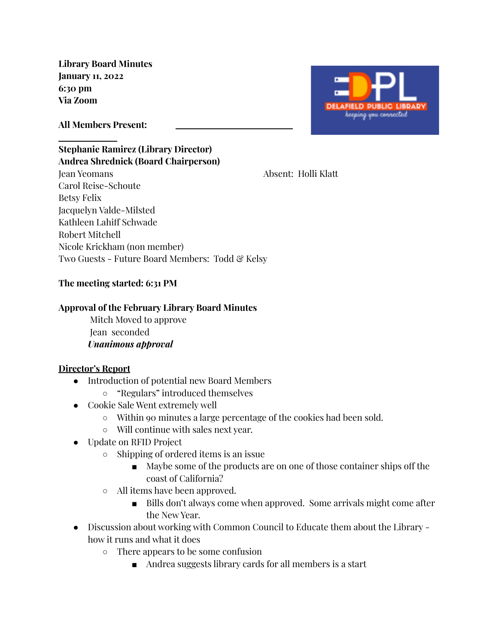**Library Board Minutes January 11, 2022 6:30 pm Via Zoom**



**All Members Present:**

### **Stephanie Ramirez (Library Director) Andrea Shrednick (Board Chairperson)**

Jean Yeomans Absent: Holli Klatt Carol Reise-Schoute Betsy Felix Jacquelyn Valde-Milsted Kathleen Lahiff Schwade Robert Mitchell Nicole Krickham (non member) Two Guests - Future Board Members: Todd & Kelsy

# **The meeting started: 6:31 PM**

### **Approval of the February Library Board Minutes**

Mitch Moved to approve Jean seconded *Unanimous approval*

## **Director's Report**

- Introduction of potential new Board Members
	- "Regulars" introduced themselves
- Cookie Sale Went extremely well
	- Within 90 minutes a large percentage of the cookies had been sold.
	- Will continue with sales next year.
- Update on RFID Project
	- Shipping of ordered items is an issue
		- Maybe some of the products are on one of those container ships off the coast of California?
	- All items have been approved.
		- Bills don't always come when approved. Some arrivals might come after the New Year.
- Discussion about working with Common Council to Educate them about the Library how it runs and what it does
	- There appears to be some confusion
		- Andrea suggests library cards for all members is a start